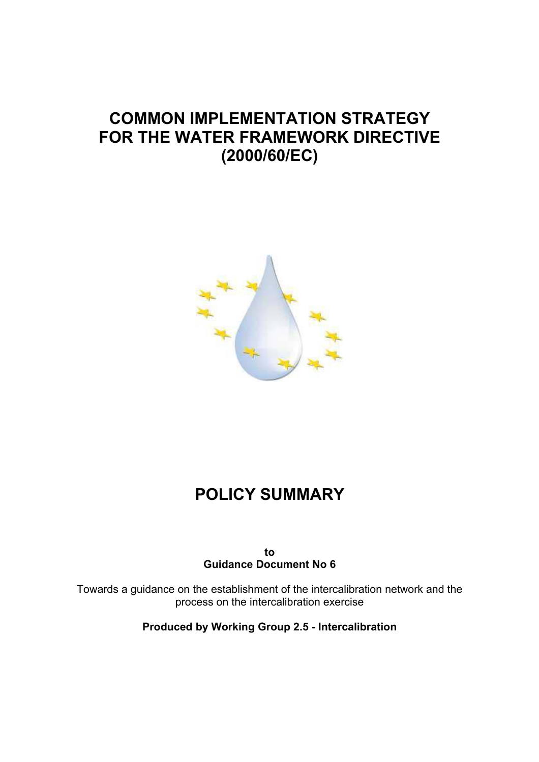# **COMMON IMPLEMENTATION STRATEGY FOR THE WATER FRAMEWORK DIRECTIVE (2000/60/EC)**



# **POLICY SUMMARY**

**to Guidance Document No 6** 

Towards a guidance on the establishment of the intercalibration network and the process on the intercalibration exercise

**Produced by Working Group 2.5 - Intercalibration**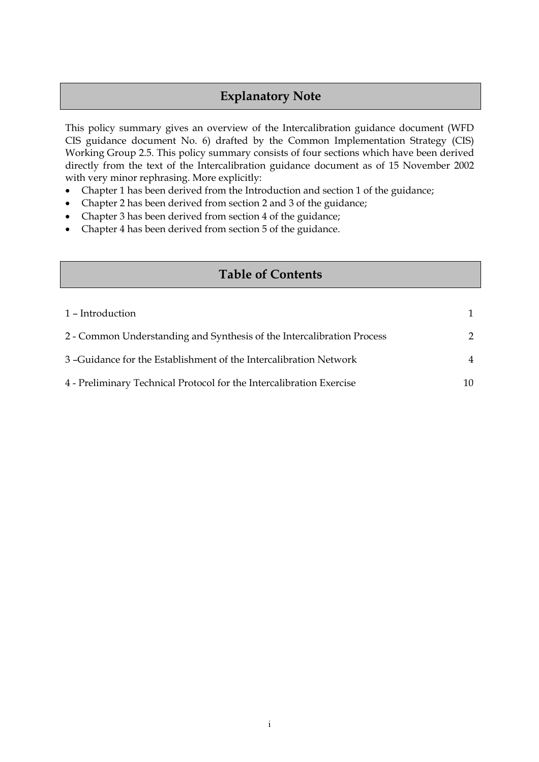# **Explanatory Note**

This policy summary gives an overview of the Intercalibration guidance document (WFD CIS guidance document No. 6) drafted by the Common Implementation Strategy (CIS) Working Group 2.5. This policy summary consists of four sections which have been derived directly from the text of the Intercalibration guidance document as of 15 November 2002 with very minor rephrasing. More explicitly:

- Chapter 1 has been derived from the Introduction and section 1 of the guidance;
- Chapter 2 has been derived from section 2 and 3 of the guidance;
- Chapter 3 has been derived from section 4 of the guidance;
- Chapter 4 has been derived from section 5 of the guidance.

# **Table of Contents**

| 1 – Introduction                                                       |               |
|------------------------------------------------------------------------|---------------|
| 2 - Common Understanding and Synthesis of the Intercalibration Process | $\mathcal{P}$ |
| 3 - Guidance for the Establishment of the Intercalibration Network     | 4             |
| 4 - Preliminary Technical Protocol for the Intercalibration Exercise   | 10            |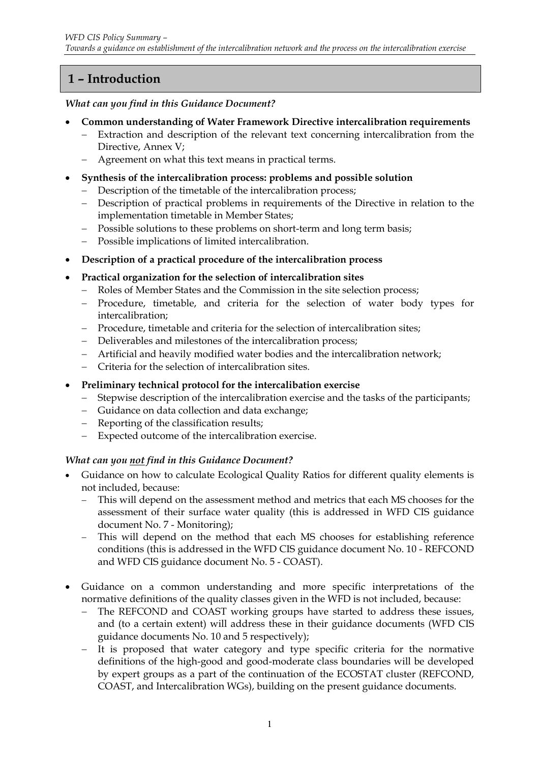# <span id="page-2-0"></span> **1 – Introduction**

*What can you find in this Guidance Document?* 

- **Common understanding of Water Framework Directive intercalibration requirements** 
	- − Extraction and description of the relevant text concerning intercalibration from the Directive, Annex V;
	- − Agreement on what this text means in practical terms.
- **Synthesis of the intercalibration process: problems and possible solution** 
	- − Description of the timetable of the intercalibration process;
	- − Description of practical problems in requirements of the Directive in relation to the implementation timetable in Member States;
	- − Possible solutions to these problems on short-term and long term basis;
	- − Possible implications of limited intercalibration.
- **Description of a practical procedure of the intercalibration process**
- **Practical organization for the selection of intercalibration sites** 
	- − Roles of Member States and the Commission in the site selection process;
	- − Procedure, timetable, and criteria for the selection of water body types for intercalibration;
	- − Procedure, timetable and criteria for the selection of intercalibration sites;
	- − Deliverables and milestones of the intercalibration process;
	- − Artificial and heavily modified water bodies and the intercalibration network;
	- − Criteria for the selection of intercalibration sites.
- **Preliminary technical protocol for the intercalibation exercise** 
	- − Stepwise description of the intercalibration exercise and the tasks of the participants;
	- − Guidance on data collection and data exchange;
	- − Reporting of the classification results;
	- − Expected outcome of the intercalibration exercise.

# *What can you not find in this Guidance Document?*

- Guidance on how to calculate Ecological Quality Ratios for different quality elements is not included, because:
	- − This will depend on the assessment method and metrics that each MS chooses for the assessment of their surface water quality (this is addressed in WFD CIS guidance document No. 7 - Monitoring);
	- This will depend on the method that each MS chooses for establishing reference conditions (this is addressed in the WFD CIS guidance document No. 10 - REFCOND and WFD CIS guidance document No. 5 - COAST).
- Guidance on a common understanding and more specific interpretations of the normative definitions of the quality classes given in the WFD is not included, because:
	- − The REFCOND and COAST working groups have started to address these issues, and (to a certain extent) will address these in their guidance documents (WFD CIS guidance documents No. 10 and 5 respectively);
	- − It is proposed that water category and type specific criteria for the normative definitions of the high-good and good-moderate class boundaries will be developed by expert groups as a part of the continuation of the ECOSTAT cluster (REFCOND, COAST, and Intercalibration WGs), building on the present guidance documents.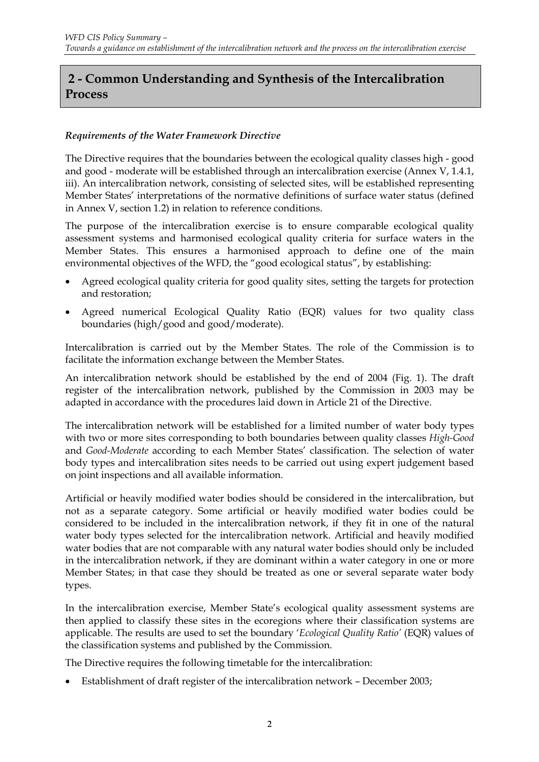# <span id="page-3-0"></span> **2 - Common Understanding and Synthesis of the Intercalibration Process**

#### *Requirements of the Water Framework Directive*

The Directive requires that the boundaries between the ecological quality classes high - good and good - moderate will be established through an intercalibration exercise (Annex V, 1.4.1, iii). An intercalibration network, consisting of selected sites, will be established representing Member States' interpretations of the normative definitions of surface water status (defined in Annex V, section 1.2) in relation to reference conditions.

The purpose of the intercalibration exercise is to ensure comparable ecological quality assessment systems and harmonised ecological quality criteria for surface waters in the Member States. This ensures a harmonised approach to define one of the main environmental objectives of the WFD, the "good ecological status", by establishing:

- Agreed ecological quality criteria for good quality sites, setting the targets for protection and restoration;
- Agreed numerical Ecological Quality Ratio (EQR) values for two quality class boundaries (high/good and good/moderate).

Intercalibration is carried out by the Member States. The role of the Commission is to facilitate the information exchange between the Member States.

An intercalibration network should be established by the end of 2004 (Fig. 1). The draft register of the intercalibration network, published by the Commission in 2003 may be adapted in accordance with the procedures laid down in Article 21 of the Directive.

The intercalibration network will be established for a limited number of water body types with two or more sites corresponding to both boundaries between quality classes *High-Good* and *Good-Moderate* according to each Member States' classification. The selection of water body types and intercalibration sites needs to be carried out using expert judgement based on joint inspections and all available information.

Artificial or heavily modified water bodies should be considered in the intercalibration, but not as a separate category. Some artificial or heavily modified water bodies could be considered to be included in the intercalibration network, if they fit in one of the natural water body types selected for the intercalibration network. Artificial and heavily modified water bodies that are not comparable with any natural water bodies should only be included in the intercalibration network, if they are dominant within a water category in one or more Member States; in that case they should be treated as one or several separate water body types.

In the intercalibration exercise, Member State's ecological quality assessment systems are then applied to classify these sites in the ecoregions where their classification systems are applicable. The results are used to set the boundary '*Ecological Quality Ratio'* (EQR) values of the classification systems and published by the Commission.

The Directive requires the following timetable for the intercalibration:

• Establishment of draft register of the intercalibration network – December 2003;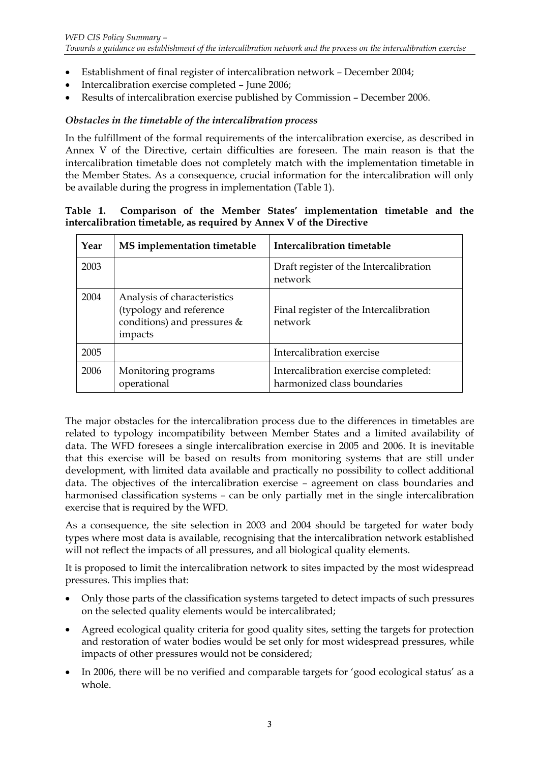- Establishment of final register of intercalibration network December 2004;
- Intercalibration exercise completed June 2006;
- Results of intercalibration exercise published by Commission December 2006.

# *Obstacles in the timetable of the intercalibration process*

In the fulfillment of the formal requirements of the intercalibration exercise, as described in Annex V of the Directive, certain difficulties are foreseen. The main reason is that the intercalibration timetable does not completely match with the implementation timetable in the Member States. As a consequence, crucial information for the intercalibration will only be available during the progress in implementation (Table 1).

|  |  |  | Table 1. Comparison of the Member States' implementation timetable and the |  |  |
|--|--|--|----------------------------------------------------------------------------|--|--|
|  |  |  | intercalibration timetable, as required by Annex V of the Directive        |  |  |

| Year | MS implementation timetable                                                                      | Intercalibration timetable                                          |
|------|--------------------------------------------------------------------------------------------------|---------------------------------------------------------------------|
| 2003 |                                                                                                  | Draft register of the Intercalibration<br>network                   |
| 2004 | Analysis of characteristics<br>(typology and reference<br>conditions) and pressures &<br>impacts | Final register of the Intercalibration<br>network                   |
| 2005 |                                                                                                  | Intercalibration exercise                                           |
| 2006 | Monitoring programs<br>operational                                                               | Intercalibration exercise completed:<br>harmonized class boundaries |

The major obstacles for the intercalibration process due to the differences in timetables are related to typology incompatibility between Member States and a limited availability of data. The WFD foresees a single intercalibration exercise in 2005 and 2006. It is inevitable that this exercise will be based on results from monitoring systems that are still under development, with limited data available and practically no possibility to collect additional data. The objectives of the intercalibration exercise – agreement on class boundaries and harmonised classification systems – can be only partially met in the single intercalibration exercise that is required by the WFD.

As a consequence, the site selection in 2003 and 2004 should be targeted for water body types where most data is available, recognising that the intercalibration network established will not reflect the impacts of all pressures, and all biological quality elements.

It is proposed to limit the intercalibration network to sites impacted by the most widespread pressures. This implies that:

- Only those parts of the classification systems targeted to detect impacts of such pressures on the selected quality elements would be intercalibrated;
- Agreed ecological quality criteria for good quality sites, setting the targets for protection and restoration of water bodies would be set only for most widespread pressures, while impacts of other pressures would not be considered;
- In 2006, there will be no verified and comparable targets for 'good ecological status' as a whole.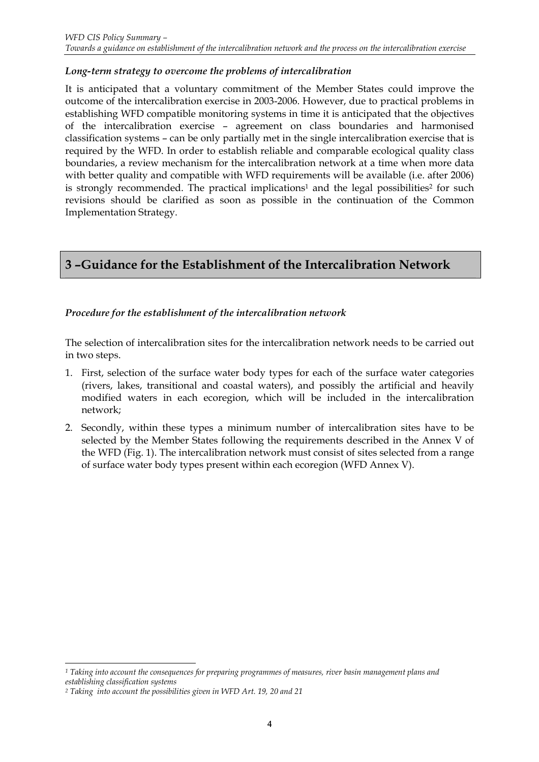# <span id="page-5-0"></span>*Long-term strategy to overcome the problems of intercalibration*

It is anticipated that a voluntary commitment of the Member States could improve the outcome of the intercalibration exercise in 2003-2006. However, due to practical problems in establishing WFD compatible monitoring systems in time it is anticipated that the objectives of the intercalibration exercise – agreement on class boundaries and harmonised classification systems – can be only partially met in the single intercalibration exercise that is required by the WFD. In order to establish reliable and comparable ecological quality class boundaries, a review mechanism for the intercalibration network at a time when more data with better quality and compatible with WFD requirements will be available (i.e. after 2006) is strongly recommended. The practical implications<sup>1</sup> and the legal possibilities<sup>2</sup> for such revisions should be clarified as soon as possible in the continuation of the Common Implementation Strategy.

# **3 –Guidance for the Establishment of the Intercalibration Network**

# *Procedure for the establishment of the intercalibration network*

The selection of intercalibration sites for the intercalibration network needs to be carried out in two steps.

- 1. First, selection of the surface water body types for each of the surface water categories (rivers, lakes, transitional and coastal waters), and possibly the artificial and heavily modified waters in each ecoregion, which will be included in the intercalibration network;
- 2. Secondly, within these types a minimum number of intercalibration sites have to be selected by the Member States following the requirements described in the Annex V of the WFD (Fig. 1). The intercalibration network must consist of sites selected from a range of surface water body types present within each ecoregion (WFD Annex V).

<span id="page-5-1"></span>l *1 Taking into account the consequences for preparing programmes of measures, river basin management plans and establishing classification systems* 

<span id="page-5-2"></span>*<sup>2</sup> Taking into account the possibilities given in WFD Art. 19, 20 and 21*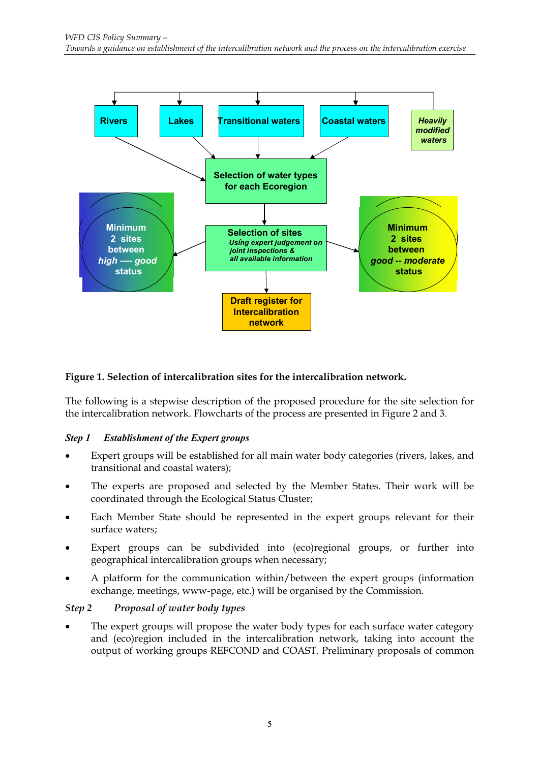

#### **Figure 1. Selection of intercalibration sites for the intercalibration network.**

The following is a stepwise description of the proposed procedure for the site selection for the intercalibration network. Flowcharts of the process are presented in Figure 2 and 3.

#### *Step 1 Establishment of the Expert groups*

- Expert groups will be established for all main water body categories (rivers, lakes, and transitional and coastal waters);
- The experts are proposed and selected by the Member States. Their work will be coordinated through the Ecological Status Cluster;
- Each Member State should be represented in the expert groups relevant for their surface waters;
- Expert groups can be subdivided into (eco)regional groups, or further into geographical intercalibration groups when necessary;
- A platform for the communication within/between the expert groups (information exchange, meetings, www-page, etc.) will be organised by the Commission.

#### *Step 2 Proposal of water body types*

The expert groups will propose the water body types for each surface water category and (eco)region included in the intercalibration network, taking into account the output of working groups REFCOND and COAST. Preliminary proposals of common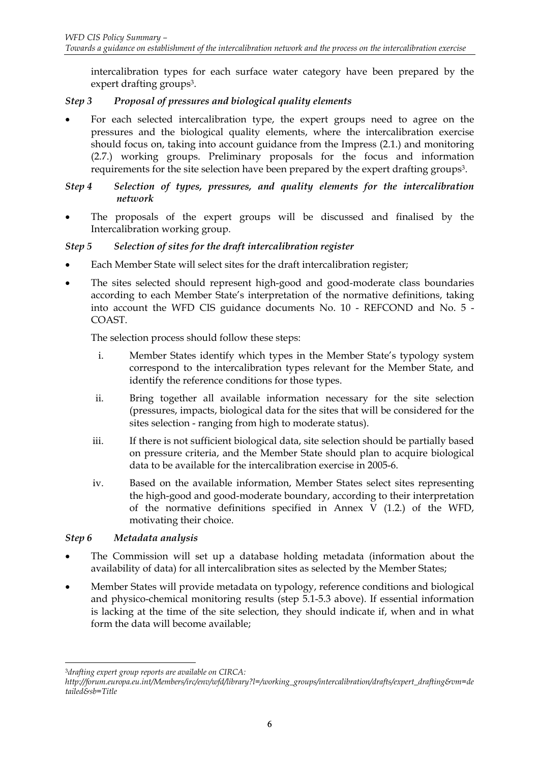intercalibration types for each surface water category have been prepared by the expert drafting groups<sup>3</sup>.

# *Step 3 Proposal of pressures and biological quality elements*

• For each selected intercalibration type, the expert groups need to agree on the pressures and the biological quality elements, where the intercalibration exercise should focus on, taking into account guidance from the Impress (2.1.) and monitoring (2.7.) working groups. Preliminary proposals for the focus and information requirements for the site selection have been prepared by the expert drafting groups3.

#### *Step 4 Selection of types, pressures, and quality elements for the intercalibration network*

The proposals of the expert groups will be discussed and finalised by the Intercalibration working group.

# *Step 5 Selection of sites for the draft intercalibration register*

- Each Member State will select sites for the draft intercalibration register;
- The sites selected should represent high-good and good-moderate class boundaries according to each Member State's interpretation of the normative definitions, taking into account the WFD CIS guidance documents No. 10 - REFCOND and No. 5 - COAST.

The selection process should follow these steps:

- i. Member States identify which types in the Member State's typology system correspond to the intercalibration types relevant for the Member State, and identify the reference conditions for those types.
- ii. Bring together all available information necessary for the site selection (pressures, impacts, biological data for the sites that will be considered for the sites selection - ranging from high to moderate status).
- iii. If there is not sufficient biological data, site selection should be partially based on pressure criteria, and the Member State should plan to acquire biological data to be available for the intercalibration exercise in 2005-6.
- iv. Based on the available information, Member States select sites representing the high-good and good-moderate boundary, according to their interpretation of the normative definitions specified in Annex V (1.2.) of the WFD, motivating their choice.

# *Step 6 Metadata analysis*

- The Commission will set up a database holding metadata (information about the availability of data) for all intercalibration sites as selected by the Member States;
- Member States will provide metadata on typology, reference conditions and biological and physico-chemical monitoring results (step 5.1-5.3 above). If essential information is lacking at the time of the site selection, they should indicate if, when and in what form the data will become available;

<span id="page-7-0"></span>l <sup>3</sup>*drafting expert group reports are available on CIRCA:* 

*http://forum.europa.eu.int/Members/irc/env/wfd/library?l=/working\_groups/intercalibration/drafts/expert\_drafting&vm=de tailed&sb=Title*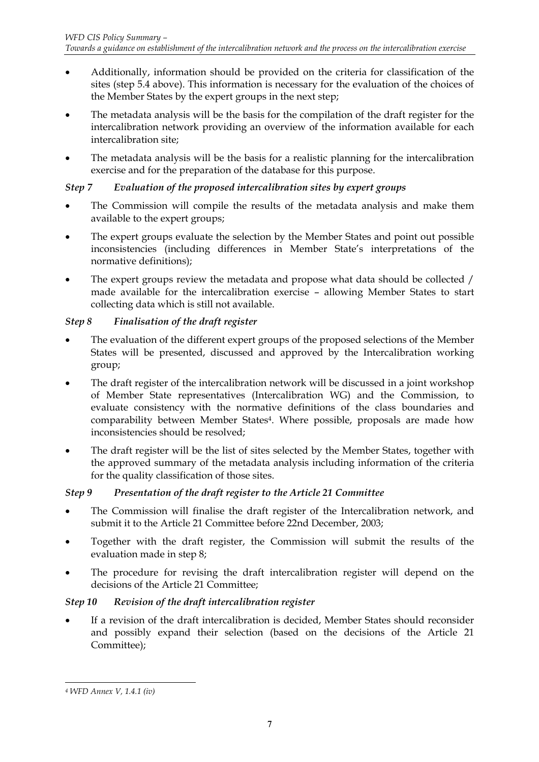- Additionally, information should be provided on the criteria for classification of the sites (step 5.4 above). This information is necessary for the evaluation of the choices of the Member States by the expert groups in the next step;
- The metadata analysis will be the basis for the compilation of the draft register for the intercalibration network providing an overview of the information available for each intercalibration site;
- The metadata analysis will be the basis for a realistic planning for the intercalibration exercise and for the preparation of the database for this purpose.

# *Step 7 Evaluation of the proposed intercalibration sites by expert groups*

- The Commission will compile the results of the metadata analysis and make them available to the expert groups;
- The expert groups evaluate the selection by the Member States and point out possible inconsistencies (including differences in Member State's interpretations of the normative definitions);
- The expert groups review the metadata and propose what data should be collected / made available for the intercalibration exercise – allowing Member States to start collecting data which is still not available.

# *Step 8 Finalisation of the draft register*

- The evaluation of the different expert groups of the proposed selections of the Member States will be presented, discussed and approved by the Intercalibration working group;
- The draft register of the intercalibration network will be discussed in a joint workshop of Member State representatives (Intercalibration WG) and the Commission, to evaluate consistency with the normative definitions of the class boundaries and comparability between Member State[s4.](#page-8-0) Where possible, proposals are made how inconsistencies should be resolved;
- The draft register will be the list of sites selected by the Member States, together with the approved summary of the metadata analysis including information of the criteria for the quality classification of those sites.

# *Step 9 Presentation of the draft register to the Article 21 Committee*

- The Commission will finalise the draft register of the Intercalibration network, and submit it to the Article 21 Committee before 22nd December, 2003;
- Together with the draft register, the Commission will submit the results of the evaluation made in step 8;
- The procedure for revising the draft intercalibration register will depend on the decisions of the Article 21 Committee;

# *Step 10 Revision of the draft intercalibration register*

If a revision of the draft intercalibration is decided, Member States should reconsider and possibly expand their selection (based on the decisions of the Article 21 Committee);

<span id="page-8-0"></span> $\overline{a}$ *4 WFD Annex V, 1.4.1 (iv)*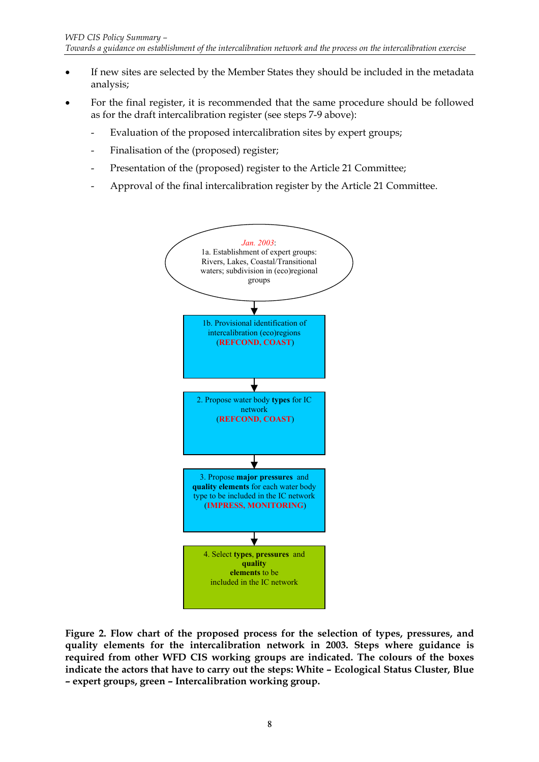- If new sites are selected by the Member States they should be included in the metadata analysis;
- For the final register, it is recommended that the same procedure should be followed as for the draft intercalibration register (see steps 7-9 above):
	- Evaluation of the proposed intercalibration sites by expert groups;
	- Finalisation of the (proposed) register;
	- Presentation of the (proposed) register to the Article 21 Committee;
	- Approval of the final intercalibration register by the Article 21 Committee.



**Figure 2. Flow chart of the proposed process for the selection of types, pressures, and quality elements for the intercalibration network in 2003. Steps where guidance is required from other WFD CIS working groups are indicated. The colours of the boxes indicate the actors that have to carry out the steps: White – Ecological Status Cluster, Blue – expert groups, green – Intercalibration working group.**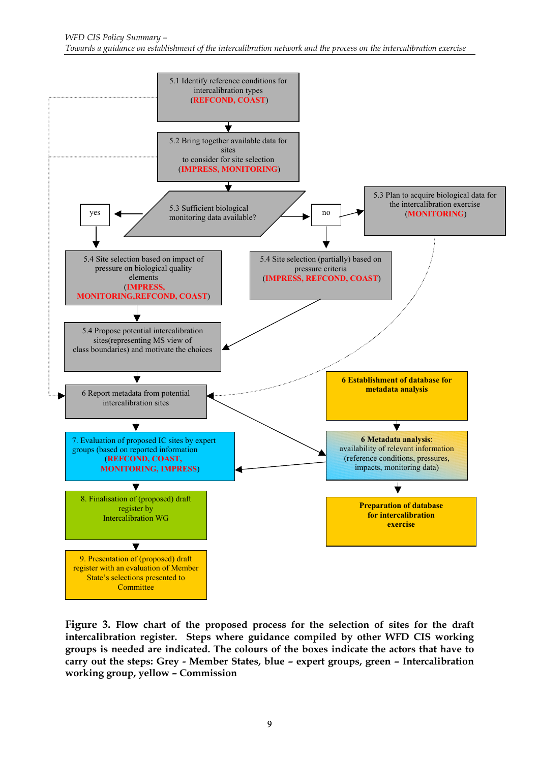

**Figure 3. Flow chart of the proposed process for the selection of sites for the draft intercalibration register. Steps where guidance compiled by other WFD CIS working groups is needed are indicated. The colours of the boxes indicate the actors that have to carry out the steps: Grey - Member States, blue – expert groups, green – Intercalibration working group, yellow – Commission**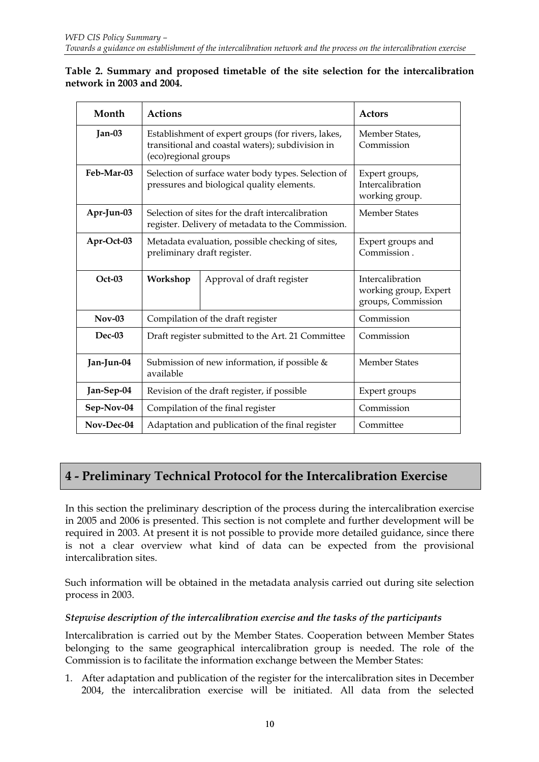#### <span id="page-11-0"></span>**Table 2. Summary and proposed timetable of the site selection for the intercalibration network in 2003 and 2004.**

| Month      | <b>Actions</b>              |                                                                                                        | <b>Actors</b>                                                   |  |  |
|------------|-----------------------------|--------------------------------------------------------------------------------------------------------|-----------------------------------------------------------------|--|--|
| $Jan-03$   | (eco)regional groups        | Establishment of expert groups (for rivers, lakes,<br>transitional and coastal waters); subdivision in | Member States,<br>Commission                                    |  |  |
| Feb-Mar-03 |                             | Selection of surface water body types. Selection of<br>pressures and biological quality elements.      | Expert groups,<br>Intercalibration<br>working group.            |  |  |
| Apr-Jun-03 |                             | Selection of sites for the draft intercalibration<br>register. Delivery of metadata to the Commission. | <b>Member States</b>                                            |  |  |
| Apr-Oct-03 | preliminary draft register. | Metadata evaluation, possible checking of sites,                                                       | Expert groups and<br>Commission.                                |  |  |
| $Oct-03$   | Workshop                    | Approval of draft register                                                                             | Intercalibration<br>working group, Expert<br>groups, Commission |  |  |
| $Nov-03$   |                             | Compilation of the draft register                                                                      | Commission                                                      |  |  |
| $Dec-03$   |                             | Draft register submitted to the Art. 21 Committee                                                      | Commission                                                      |  |  |
| Jan-Jun-04 | available                   | Submission of new information, if possible $&$                                                         | <b>Member States</b>                                            |  |  |
| Jan-Sep-04 |                             | Revision of the draft register, if possible                                                            | Expert groups                                                   |  |  |
| Sep-Nov-04 |                             | Compilation of the final register                                                                      | Commission                                                      |  |  |
| Nov-Dec-04 |                             | Adaptation and publication of the final register                                                       | Committee                                                       |  |  |

# **4 - Preliminary Technical Protocol for the Intercalibration Exercise**

In this section the preliminary description of the process during the intercalibration exercise in 2005 and 2006 is presented. This section is not complete and further development will be required in 2003. At present it is not possible to provide more detailed guidance, since there is not a clear overview what kind of data can be expected from the provisional intercalibration sites.

Such information will be obtained in the metadata analysis carried out during site selection process in 2003.

# *Stepwise description of the intercalibration exercise and the tasks of the participants*

Intercalibration is carried out by the Member States. Cooperation between Member States belonging to the same geographical intercalibration group is needed. The role of the Commission is to facilitate the information exchange between the Member States:

1. After adaptation and publication of the register for the intercalibration sites in December 2004, the intercalibration exercise will be initiated. All data from the selected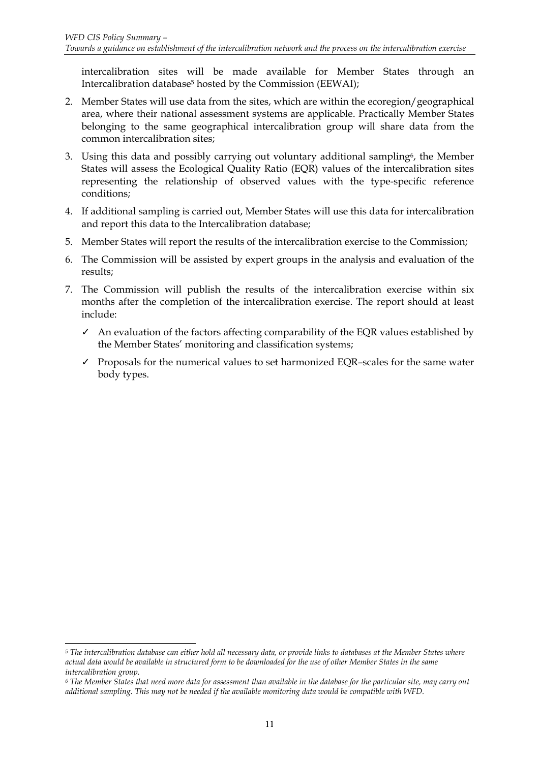intercalibration sites will be made available for Member States through an Intercalibration database<sup>5</sup> hosted by the Commission (EEWAI);

- 2. Member States will use data from the sites, which are within the ecoregion/geographical area, where their national assessment systems are applicable. Practically Member States belonging to the same geographical intercalibration group will share data from the common intercalibration sites;
- 3. Using this data and possibly carrying out voluntary additional sampling<sup>6</sup>, the Member States will assess the Ecological Quality Ratio (EQR) values of the intercalibration sites representing the relationship of observed values with the type-specific reference conditions;
- 4. If additional sampling is carried out, Member States will use this data for intercalibration and report this data to the Intercalibration database;
- 5. Member States will report the results of the intercalibration exercise to the Commission;
- 6. The Commission will be assisted by expert groups in the analysis and evaluation of the results;
- 7. The Commission will publish the results of the intercalibration exercise within six months after the completion of the intercalibration exercise. The report should at least include:
	- $\checkmark$  An evaluation of the factors affecting comparability of the EQR values established by the Member States' monitoring and classification systems;
	- $\checkmark$  Proposals for the numerical values to set harmonized EQR–scales for the same water body types.

 $\overline{a}$ 

<span id="page-12-0"></span>*<sup>5</sup> The intercalibration database can either hold all necessary data, or provide links to databases at the Member States where actual data would be available in structured form to be downloaded for the use of other Member States in the same intercalibration group.* 

<span id="page-12-1"></span>*<sup>6</sup> The Member States that need more data for assessment than available in the database for the particular site, may carry out additional sampling. This may not be needed if the available monitoring data would be compatible with WFD.*